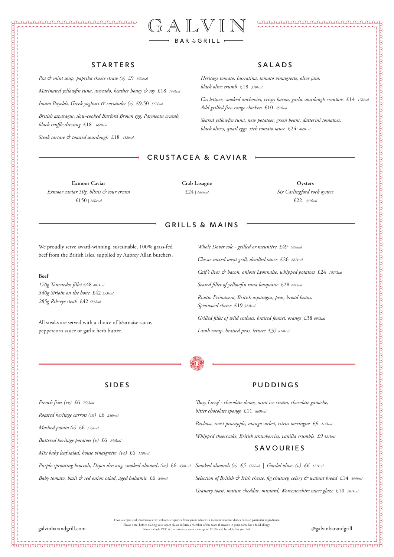

### CONNONNONNONNONNONNONNONNO CONNONNO COM

# 

### **STARTERS**

*Pea & mint soup, paprika cheese straw (v)* £9 *360kcal Marinated yellowfin tuna, avocado, heather honey & soy* £18 *144kcal Imam Bayeldi, Greek yoghurt & coriander (v)* £9.50 *562kcal British asparagus, slow-cooked Burford Brown egg, Parmesan crumb, black truffle dressing* £18 *660kcal* 

*Steak tartare & toasted sourdough* £18 *432kcal* 

We proudly serve award-winning, sustainable, 100% grass-fed beef from the British Isles, supplied by Aubrey Allan butchers.

### **Beef**

*170g Tournedos fillet* £48 *481kcal 340g Sirloin on the bone* £42 *593kcal 285g Rib-eye steak* £42 *683kcal*

All steaks are served with a choice of béarnaise sauce, peppercorn sauce or garlic herb butter.

### CRUSTACEA & CAVIAR

**Exmoor Caviar** *Exmoor caviar 50g, blinis & sour cream* £150 | *360kcal*

**Oysters** *Six Carlingford rock oysters* £22 | *330kcal*

### PUDDINGS

*'Busy Lizzy' - chocolate dome, mint ice cream, chocolate ganache, bitter chocolate sponge* £11 *869kcal*

*Pavlova, roast pineapple, mango sorbet, citrus meringue £9 214kcal*

*Whipped cheesecake, British strawberries, vanilla crumble £9 321kcal*

### SAVOURIES

*Selection of British & Irish cheese, fig chutney, celery & walnut bread* £14 *494kcal*

*Granary toast, mature cheddar, mustard, Worcestershire sauce glaze* £10 *701kcal*

Food allergies and intolerances: we welcome enquiries from guests who wish to know whether dishes contain particular ingredients. Please note: before placing your order please inform a member of the team if anyone in your party has a food allergy. galvinbarandgrill.com Prices include VAT. A discretionary service charge of 12.5% will be added to your bill. @galvinbarandgrill

# SIDES

*French fries (ve)* £6 *753kcal* 

*Smoked almonds (v) £5 458kcal | Gordal olives (v) £6 121kcal Purple-sprouting broccoli, Dijon dressing, smoked almonds (ve)* £6 *458kcal*

*Roasted heritage carrots (ve)* £6 *230kcal*

*Mashed potato (v)* £6 *529kcal*

*Buttered heritage potatoes (v)* £6 *250kcal*

*Mix baby leaf salad, house vinaigrette (ve)* £6 *118kcal*

*Baby tomato, basil & red onion salad, aged balsamic* £6 *84kcal*

*Heritage tomato, burratina, tomato vinaigrette, olive jam, black olive crumb* £18 *310kcal* 

*Cos lettuce, smoked anchovies, crispy bacon, garlic sourdough croutons* £14 *178kcal Add grilled free-range chicken* £10 *450kcal* 

*Seared yellowfin tuna, new potatoes, green beans, datterini tomatoes, black olives, quail eggs, rich tomato sauce* £24 *469kcal* 

*Whole Dover sole - grilled or meunière* £49 *699kcal Classic mixed meat grill, devilled sauce* £26 *882kcal Calf's liver & bacon, onions Lyonnaise, whipped potatoes* £24 *1027kcal Seared fillet of yellowfin tuna basquaise* £28 *424kcal Risotto Primavera, British asparagus, peas, broad beans, Spenwood cheese* £19 *524kcal Grilled fillet of wild seabass, braised fennel, orange* £38 *696kcal Lamb rump, braised peas, lettuce* £37 *814kcal*



### GRILLS & MAINS

### SALADS

**Crab Lasagne** £24 | *680kcal*